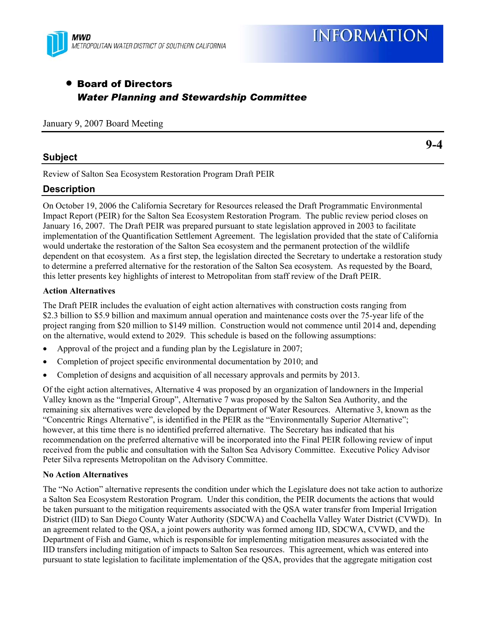

# • Board of Directors *Water Planning and Stewardship Committee*

January 9, 2007 Board Meeting

# **Subject**

Review of Salton Sea Ecosystem Restoration Program Draft PEIR

# **Description**

On October 19, 2006 the California Secretary for Resources released the Draft Programmatic Environmental Impact Report (PEIR) for the Salton Sea Ecosystem Restoration Program. The public review period closes on January 16, 2007. The Draft PEIR was prepared pursuant to state legislation approved in 2003 to facilitate implementation of the Quantification Settlement Agreement. The legislation provided that the state of California would undertake the restoration of the Salton Sea ecosystem and the permanent protection of the wildlife dependent on that ecosystem. As a first step, the legislation directed the Secretary to undertake a restoration study to determine a preferred alternative for the restoration of the Salton Sea ecosystem. As requested by the Board, this letter presents key highlights of interest to Metropolitan from staff review of the Draft PEIR.

#### **Action Alternatives**

The Draft PEIR includes the evaluation of eight action alternatives with construction costs ranging from \$2.3 billion to \$5.9 billion and maximum annual operation and maintenance costs over the 75-year life of the project ranging from \$20 million to \$149 million. Construction would not commence until 2014 and, depending on the alternative, would extend to 2029. This schedule is based on the following assumptions:

- Approval of the project and a funding plan by the Legislature in 2007;
- Completion of project specific environmental documentation by 2010; and
- Completion of designs and acquisition of all necessary approvals and permits by 2013.

Of the eight action alternatives, Alternative 4 was proposed by an organization of landowners in the Imperial Valley known as the "Imperial Group", Alternative 7 was proposed by the Salton Sea Authority, and the remaining six alternatives were developed by the Department of Water Resources. Alternative 3, known as the "Concentric Rings Alternative", is identified in the PEIR as the "Environmentally Superior Alternative"; however, at this time there is no identified preferred alternative. The Secretary has indicated that his recommendation on the preferred alternative will be incorporated into the Final PEIR following review of input received from the public and consultation with the Salton Sea Advisory Committee. Executive Policy Advisor Peter Silva represents Metropolitan on the Advisory Committee.

#### **No Action Alternatives**

The "No Action" alternative represents the condition under which the Legislature does not take action to authorize a Salton Sea Ecosystem Restoration Program. Under this condition, the PEIR documents the actions that would be taken pursuant to the mitigation requirements associated with the QSA water transfer from Imperial Irrigation District (IID) to San Diego County Water Authority (SDCWA) and Coachella Valley Water District (CVWD). In an agreement related to the QSA, a joint powers authority was formed among IID, SDCWA, CVWD, and the Department of Fish and Game, which is responsible for implementing mitigation measures associated with the IID transfers including mitigation of impacts to Salton Sea resources. This agreement, which was entered into pursuant to state legislation to facilitate implementation of the QSA, provides that the aggregate mitigation cost

**9-4**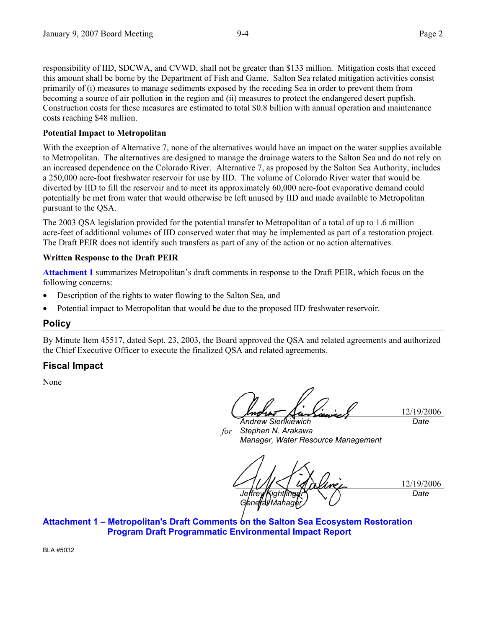responsibility of IID, SDCWA, and CVWD, shall not be greater than \$133 million. Mitigation costs that exceed this amount shall be borne by the Department of Fish and Game. Salton Sea related mitigation activities consist primarily of (i) measures to manage sediments exposed by the receding Sea in order to prevent them from becoming a source of air pollution in the region and (ii) measures to protect the endangered desert pupfish. Construction costs for these measures are estimated to total \$0.8 billion with annual operation and maintenance costs reaching \$48 million.

### **Potential Impact to Metropolitan**

With the exception of Alternative 7, none of the alternatives would have an impact on the water supplies available to Metropolitan. The alternatives are designed to manage the drainage waters to the Salton Sea and do not rely on an increased dependence on the Colorado River. Alternative 7, as proposed by the Salton Sea Authority, includes a 250,000 acre-foot freshwater reservoir for use by IID. The volume of Colorado River water that would be diverted by IID to fill the reservoir and to meet its approximately 60,000 acre-foot evaporative demand could potentially be met from water that would otherwise be left unused by IID and made available to Metropolitan pursuant to the QSA.

The 2003 QSA legislation provided for the potential transfer to Metropolitan of a total of up to 1.6 million acre-feet of additional volumes of IID conserved water that may be implemented as part of a restoration project. The Draft PEIR does not identify such transfers as part of any of the action or no action alternatives.

#### **Written Response to the Draft PEIR**

**Attachment 1** summarizes Metropolitan's draft comments in response to the Draft PEIR, which focus on the following concerns:

- Description of the rights to water flowing to the Salton Sea, and
- Potential impact to Metropolitan that would be due to the proposed IID freshwater reservoir.

### **Policy**

By Minute Item 45517, dated Sept. 23, 2003, the Board approved the QSA and related agreements and authorized the Chief Executive Officer to execute the finalized QSA and related agreements.

### **Fiscal Impact**

None

12/19/2006 *Date* 

*for Andrew Sienkiewich Stephen N. Arakawa Manager, Water Resource Management* 

12/19/2006 *Jeffrey Kightli General Mahager, Date* 

**Attachment 1 – Metropolitan's Draft Comments on the Salton Sea Ecosystem Restoration Program Draft Programmatic Environmental Impact Report** 

BLA #5032